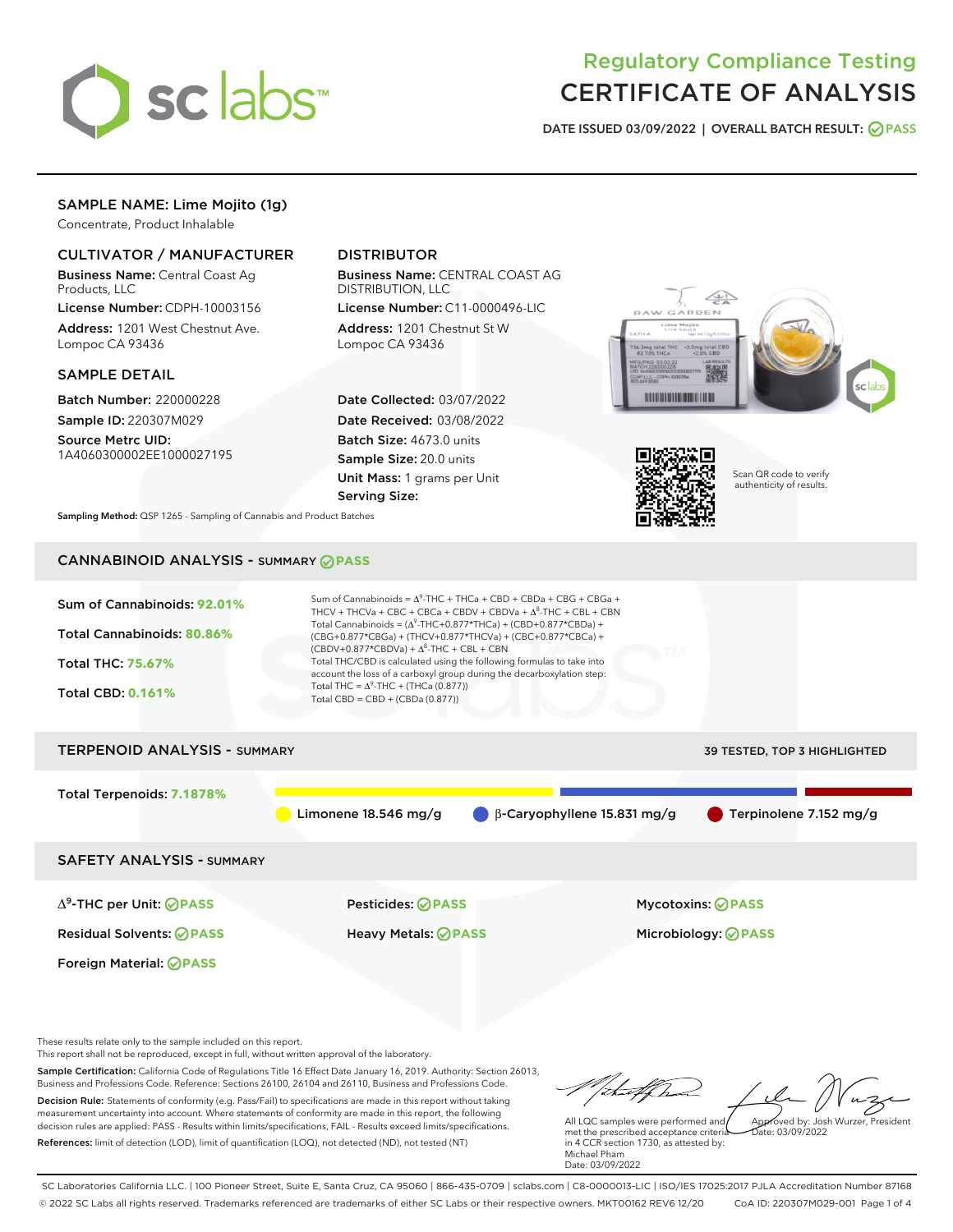

# Regulatory Compliance Testing CERTIFICATE OF ANALYSIS

DATE ISSUED 03/09/2022 | OVERALL BATCH RESULT: @ PASS

## SAMPLE NAME: Lime Mojito (1g)

Concentrate, Product Inhalable

## CULTIVATOR / MANUFACTURER

Business Name: Central Coast Ag Products, LLC

License Number: CDPH-10003156 Address: 1201 West Chestnut Ave. Lompoc CA 93436

#### SAMPLE DETAIL

Batch Number: 220000228 Sample ID: 220307M029

Source Metrc UID: 1A4060300002EE1000027195

## DISTRIBUTOR

Business Name: CENTRAL COAST AG DISTRIBUTION, LLC License Number: C11-0000496-LIC

Address: 1201 Chestnut St W Lompoc CA 93436

Date Collected: 03/07/2022 Date Received: 03/08/2022 Batch Size: 4673.0 units Sample Size: 20.0 units Unit Mass: 1 grams per Unit Serving Size:





Scan QR code to verify authenticity of results.

Sampling Method: QSP 1265 - Sampling of Cannabis and Product Batches

# CANNABINOID ANALYSIS - SUMMARY **PASS**



These results relate only to the sample included on this report.

This report shall not be reproduced, except in full, without written approval of the laboratory.

Sample Certification: California Code of Regulations Title 16 Effect Date January 16, 2019. Authority: Section 26013, Business and Professions Code. Reference: Sections 26100, 26104 and 26110, Business and Professions Code. Decision Rule: Statements of conformity (e.g. Pass/Fail) to specifications are made in this report without taking measurement uncertainty into account. Where statements of conformity are made in this report, the following decision rules are applied: PASS - Results within limits/specifications, FAIL - Results exceed limits/specifications.

References: limit of detection (LOD), limit of quantification (LOQ), not detected (ND), not tested (NT)

tuff ha Approved by: Josh Wurzer, President

 $\frac{1}{2}$  03/09/2022

All LQC samples were performed and met the prescribed acceptance criteria in 4 CCR section 1730, as attested by: Michael Pham Date: 03/09/2022

SC Laboratories California LLC. | 100 Pioneer Street, Suite E, Santa Cruz, CA 95060 | 866-435-0709 | sclabs.com | C8-0000013-LIC | ISO/IES 17025:2017 PJLA Accreditation Number 87168 © 2022 SC Labs all rights reserved. Trademarks referenced are trademarks of either SC Labs or their respective owners. MKT00162 REV6 12/20 CoA ID: 220307M029-001 Page 1 of 4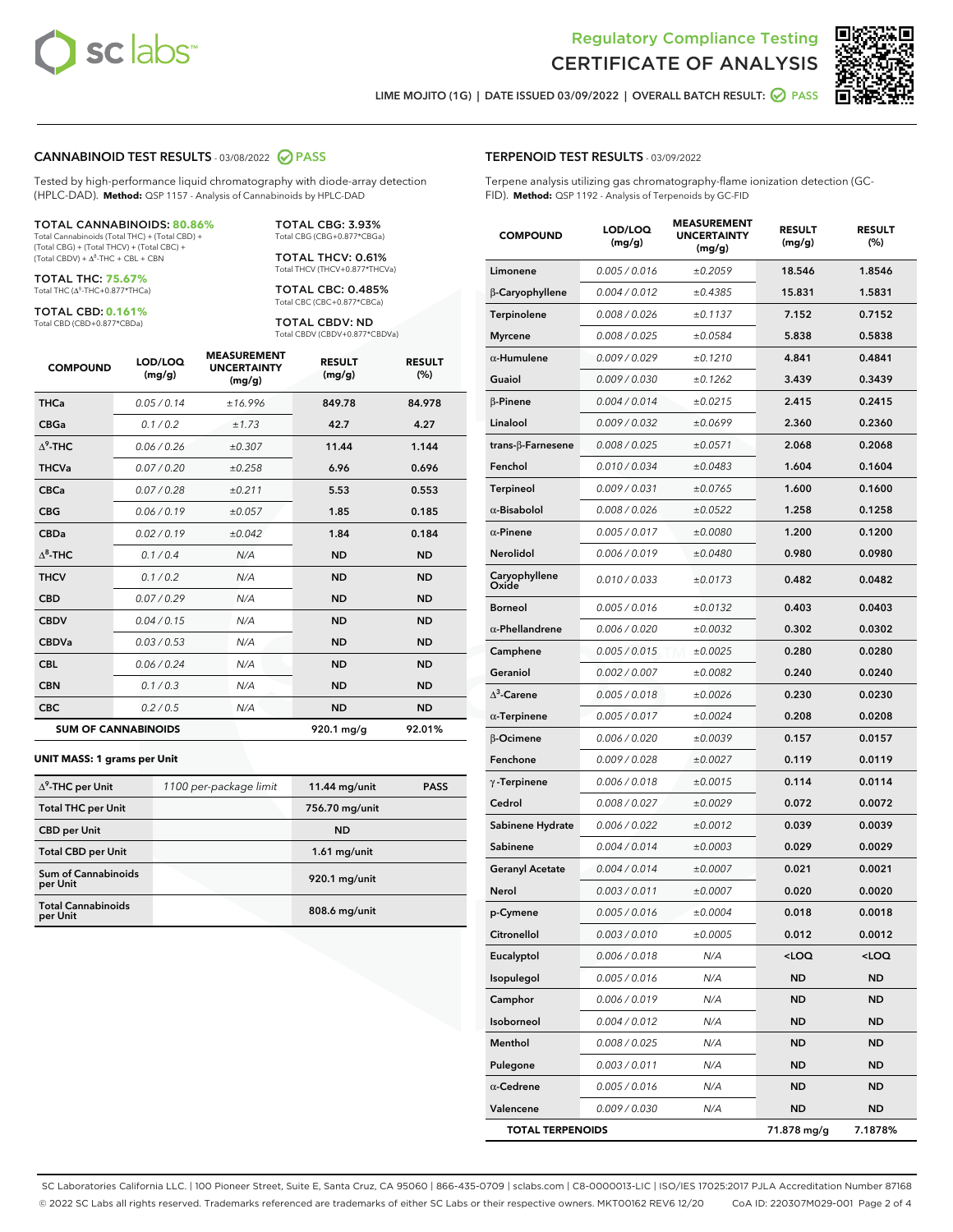



LIME MOJITO (1G) | DATE ISSUED 03/09/2022 | OVERALL BATCH RESULT: @ PASS

#### CANNABINOID TEST RESULTS - 03/08/2022 2 PASS

Tested by high-performance liquid chromatography with diode-array detection (HPLC-DAD). **Method:** QSP 1157 - Analysis of Cannabinoids by HPLC-DAD

#### TOTAL CANNABINOIDS: **80.86%**

Total Cannabinoids (Total THC) + (Total CBD) + (Total CBG) + (Total THCV) + (Total CBC) +  $(Total CBDV) +  $\Delta^8$ -THC + CBL + CBN$ 

TOTAL THC: **75.67%** Total THC (Δ<sup>9</sup>-THC+0.877\*THCa)

TOTAL CBD: **0.161%**

Total CBD (CBD+0.877\*CBDa)

TOTAL CBG: 3.93% Total CBG (CBG+0.877\*CBGa)

TOTAL THCV: 0.61% Total THCV (THCV+0.877\*THCVa)

TOTAL CBC: 0.485% Total CBC (CBC+0.877\*CBCa)

TOTAL CBDV: ND Total CBDV (CBDV+0.877\*CBDVa)

| <b>COMPOUND</b>  | LOD/LOQ<br>(mg/g)          | <b>MEASUREMENT</b><br><b>UNCERTAINTY</b><br>(mg/g) | <b>RESULT</b><br>(mg/g) | <b>RESULT</b><br>(%) |
|------------------|----------------------------|----------------------------------------------------|-------------------------|----------------------|
| <b>THCa</b>      | 0.05/0.14                  | ±16.996                                            | 849.78                  | 84.978               |
| <b>CBGa</b>      | 0.1/0.2                    | ±1.73                                              | 42.7                    | 4.27                 |
| $\Lambda^9$ -THC | 0.06 / 0.26                | ±0.307                                             | 11.44                   | 1.144                |
| <b>THCVa</b>     | 0.07/0.20                  | ±0.258                                             | 6.96                    | 0.696                |
| <b>CBCa</b>      | 0.07/0.28                  | ±0.211                                             | 5.53                    | 0.553                |
| <b>CBG</b>       | 0.06/0.19                  | ±0.057                                             | 1.85                    | 0.185                |
| <b>CBDa</b>      | 0.02/0.19                  | ±0.042                                             | 1.84                    | 0.184                |
| $\Lambda^8$ -THC | 0.1 / 0.4                  | N/A                                                | <b>ND</b>               | <b>ND</b>            |
| <b>THCV</b>      | 0.1 / 0.2                  | N/A                                                | <b>ND</b>               | <b>ND</b>            |
| <b>CBD</b>       | 0.07/0.29                  | N/A                                                | <b>ND</b>               | <b>ND</b>            |
| <b>CBDV</b>      | 0.04 / 0.15                | N/A                                                | <b>ND</b>               | <b>ND</b>            |
| <b>CBDVa</b>     | 0.03 / 0.53                | N/A                                                | <b>ND</b>               | <b>ND</b>            |
| <b>CBL</b>       | 0.06 / 0.24                | N/A                                                | <b>ND</b>               | <b>ND</b>            |
| <b>CBN</b>       | 0.1/0.3                    | N/A                                                | <b>ND</b>               | <b>ND</b>            |
| <b>CBC</b>       | 0.2 / 0.5                  | N/A                                                | <b>ND</b>               | <b>ND</b>            |
|                  | <b>SUM OF CANNABINOIDS</b> |                                                    | 920.1 mg/g              | 92.01%               |

#### **UNIT MASS: 1 grams per Unit**

| $\Delta^9$ -THC per Unit               | 1100 per-package limit | 11.44 mg/unit  | <b>PASS</b> |
|----------------------------------------|------------------------|----------------|-------------|
| <b>Total THC per Unit</b>              |                        | 756.70 mg/unit |             |
| <b>CBD per Unit</b>                    |                        | <b>ND</b>      |             |
| <b>Total CBD per Unit</b>              |                        | $1.61$ mg/unit |             |
| <b>Sum of Cannabinoids</b><br>per Unit |                        | 920.1 mg/unit  |             |
| <b>Total Cannabinoids</b><br>per Unit  |                        | 808.6 mg/unit  |             |

| <b>COMPOUND</b>           | LOD/LOQ<br>(mg/g)    | <b>MEASUREMENT</b><br><b>UNCERTAINTY</b><br>(mg/g) | <b>RESULT</b><br>(mg/g)                         | <b>RESULT</b><br>(%) |
|---------------------------|----------------------|----------------------------------------------------|-------------------------------------------------|----------------------|
| Limonene                  | 0.005 / 0.016        | ±0.2059                                            | 18.546                                          | 1.8546               |
| β-Caryophyllene           | 0.004 / 0.012        | ±0.4385                                            | 15.831                                          | 1.5831               |
| Terpinolene               | 0.008 / 0.026        | ±0.1137                                            | 7.152                                           | 0.7152               |
| Myrcene                   | 0.008 / 0.025        | ±0.0584                                            | 5.838                                           | 0.5838               |
| $\alpha$ -Humulene        | 0.009 / 0.029        | ±0.1210                                            | 4.841                                           | 0.4841               |
| Guaiol                    | <i>0.009 / 0.030</i> | ±0.1262                                            | 3.439                                           | 0.3439               |
| β-Pinene                  | 0.004 / 0.014        | ±0.0215                                            | 2.415                                           | 0.2415               |
| Linalool                  | 0.009 / 0.032        | ±0.0699                                            | 2.360                                           | 0.2360               |
| trans- $\beta$ -Farnesene | 0.008 / 0.025        | ±0.0571                                            | 2.068                                           | 0.2068               |
| Fenchol                   | 0.010 / 0.034        | ±0.0483                                            | 1.604                                           | 0.1604               |
| <b>Terpineol</b>          | 0.009 / 0.031        | ±0.0765                                            | 1.600                                           | 0.1600               |
| $\alpha$ -Bisabolol       | 0.008 / 0.026        | ±0.0522                                            | 1.258                                           | 0.1258               |
| $\alpha$ -Pinene          | 0.005 / 0.017        | ±0.0080                                            | 1.200                                           | 0.1200               |
| Nerolidol                 | 0.006 / 0.019        | ±0.0480                                            | 0.980                                           | 0.0980               |
| Caryophyllene<br>Oxide    | 0.010 / 0.033        | ±0.0173                                            | 0.482                                           | 0.0482               |
| Borneol                   | 0.005 / 0.016        | ±0.0132                                            | 0.403                                           | 0.0403               |
| $\alpha$ -Phellandrene    | 0.006 / 0.020        | ±0.0032                                            | 0.302                                           | 0.0302               |
| Camphene                  | 0.005 / 0.015        | ±0.0025                                            | 0.280                                           | 0.0280               |
| Geraniol                  | 0.002 / 0.007        | ±0.0082                                            | 0.240                                           | 0.0240               |
| $\Delta^3$ -Carene        | 0.005 / 0.018        | ±0.0026                                            | 0.230                                           | 0.0230               |
| $\alpha$ -Terpinene       | 0.005 / 0.017        | ±0.0024                                            | 0.208                                           | 0.0208               |
| β-Ocimene                 | 0.006 / 0.020        | ±0.0039                                            | 0.157                                           | 0.0157               |
| Fenchone                  | 0.009 / 0.028        | ±0.0027                                            | 0.119                                           | 0.0119               |
| $\gamma$ -Terpinene       | 0.006 / 0.018        | ±0.0015                                            | 0.114                                           | 0.0114               |
| Cedrol                    | 0.008 / 0.027        | ±0.0029                                            | 0.072                                           | 0.0072               |
| Sabinene Hydrate          | 0.006 / 0.022        | ±0.0012                                            | 0.039                                           | 0.0039               |
| Sabinene                  | 0.004 / 0.014        | ±0.0003                                            | 0.029                                           | 0.0029               |
| <b>Geranyl Acetate</b>    | 0.004 / 0.014        | ±0.0007                                            | 0.021                                           | 0.0021               |
| Nerol                     | 0.003 / 0.011        | ±0.0007                                            | 0.020                                           | 0.0020               |
| p-Cymene                  | 0.005 / 0.016        | ±0.0004                                            | 0.018                                           | 0.0018               |
| Citronellol               | 0.003 / 0.010        | ±0.0005                                            | 0.012                                           | 0.0012               |
| Eucalyptol                | 0.006 / 0.018        | N/A                                                | <loq< th=""><th><loq< th=""></loq<></th></loq<> | <loq< th=""></loq<>  |
| Isopulegol                | 0.005 / 0.016        | N/A                                                | <b>ND</b>                                       | ND                   |
| Camphor                   | 0.006 / 0.019        | N/A                                                | <b>ND</b>                                       | ND                   |
| Isoborneol                | 0.004 / 0.012        | N/A                                                | <b>ND</b>                                       | ND                   |
| Menthol                   | 0.008 / 0.025        | N/A                                                | ND                                              | ND                   |
| Pulegone                  | 0.003 / 0.011        | N/A                                                | ND                                              | ND                   |
| $\alpha$ -Cedrene         | 0.005 / 0.016        | N/A                                                | <b>ND</b>                                       | ND                   |

Valencene 0.009 / 0.030 N/A ND ND TOTAL TERPENOIDS 71.878 mg/g 7.1878%

SC Laboratories California LLC. | 100 Pioneer Street, Suite E, Santa Cruz, CA 95060 | 866-435-0709 | sclabs.com | C8-0000013-LIC | ISO/IES 17025:2017 PJLA Accreditation Number 87168 © 2022 SC Labs all rights reserved. Trademarks referenced are trademarks of either SC Labs or their respective owners. MKT00162 REV6 12/20 CoA ID: 220307M029-001 Page 2 of 4

### TERPENOID TEST RESULTS - 03/09/2022

Terpene analysis utilizing gas chromatography-flame ionization detection (GC-FID). **Method:** QSP 1192 - Analysis of Terpenoids by GC-FID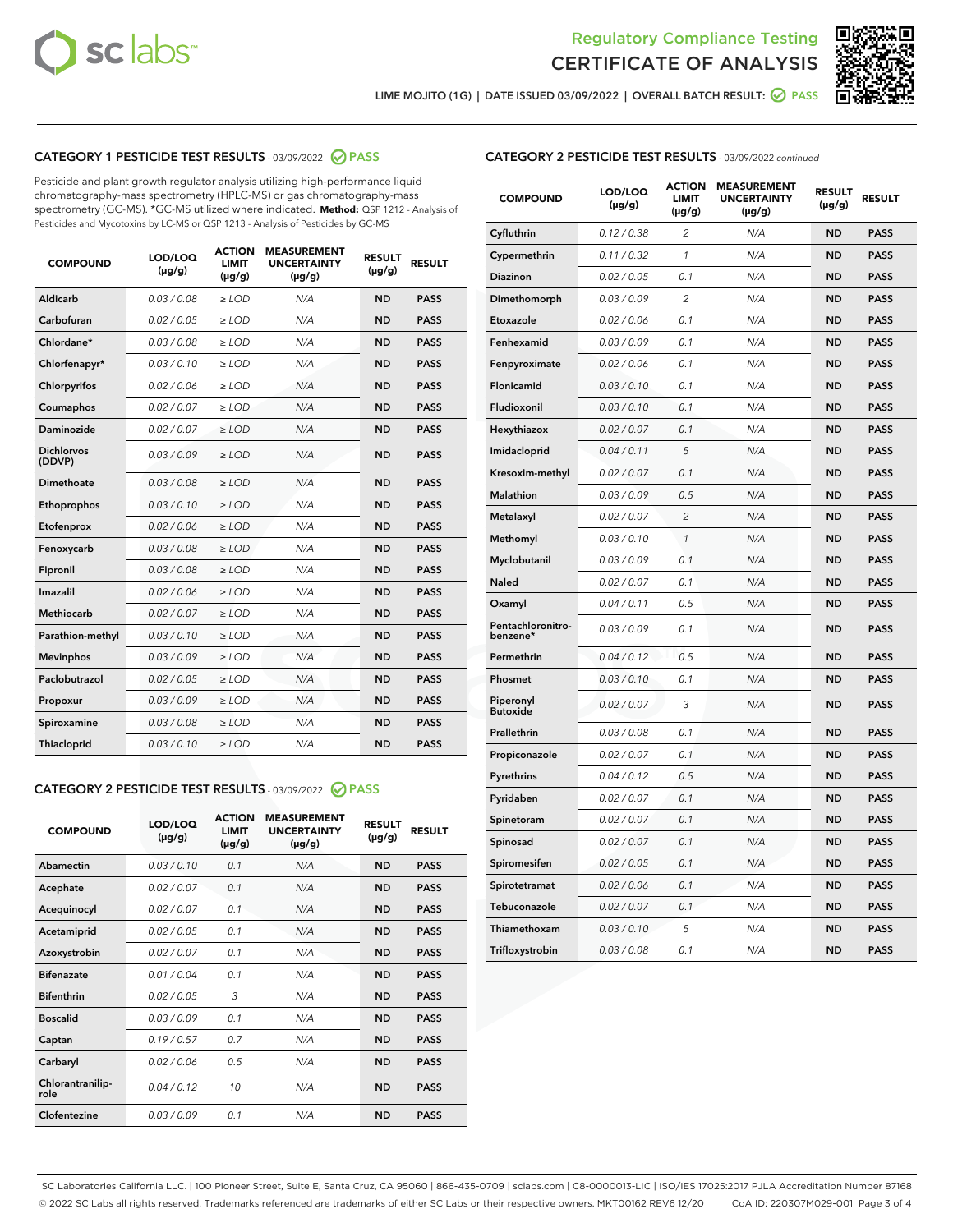



LIME MOJITO (1G) | DATE ISSUED 03/09/2022 | OVERALL BATCH RESULT: ● PASS

## CATEGORY 1 PESTICIDE TEST RESULTS - 03/09/2022 2 PASS

Pesticide and plant growth regulator analysis utilizing high-performance liquid chromatography-mass spectrometry (HPLC-MS) or gas chromatography-mass spectrometry (GC-MS). \*GC-MS utilized where indicated. **Method:** QSP 1212 - Analysis of Pesticides and Mycotoxins by LC-MS or QSP 1213 - Analysis of Pesticides by GC-MS

| 0.03 / 0.08<br>Aldicarb<br>$\ge$ LOD<br><b>ND</b><br><b>PASS</b><br>N/A<br>Carbofuran<br>0.02 / 0.05<br>$\ge$ LOD<br>N/A<br><b>ND</b><br><b>PASS</b><br>Chlordane*<br>0.03 / 0.08<br>N/A<br><b>ND</b><br><b>PASS</b><br>$\ge$ LOD<br>Chlorfenapyr*<br>0.03/0.10<br>N/A<br><b>ND</b><br><b>PASS</b><br>$\ge$ LOD<br>0.02/0.06<br>$>$ LOD<br>N/A<br><b>ND</b><br><b>PASS</b><br>Chlorpyrifos<br>Coumaphos<br>0.02 / 0.07<br>$\ge$ LOD<br>N/A<br><b>ND</b><br><b>PASS</b><br>Daminozide<br>0.02 / 0.07<br>$\ge$ LOD<br>N/A<br><b>ND</b><br><b>PASS</b><br><b>Dichlorvos</b><br>0.03/0.09<br>$\ge$ LOD<br>N/A<br><b>ND</b><br><b>PASS</b><br>(DDVP)<br><b>Dimethoate</b><br>0.03/0.08<br>N/A<br><b>ND</b><br><b>PASS</b><br>$\ge$ LOD<br>0.03/0.10<br><b>ND</b><br><b>PASS</b><br>Ethoprophos<br>$\ge$ LOD<br>N/A<br>0.02 / 0.06<br><b>PASS</b><br>Etofenprox<br>$\ge$ LOD<br>N/A<br><b>ND</b><br>0.03/0.08<br>N/A<br><b>ND</b><br><b>PASS</b><br>Fenoxycarb<br>$>$ LOD<br>0.03/0.08<br><b>ND</b><br>Fipronil<br>$\ge$ LOD<br>N/A<br><b>PASS</b><br>Imazalil<br>0.02 / 0.06<br>N/A<br><b>ND</b><br>$\ge$ LOD<br><b>PASS</b><br><b>Methiocarb</b><br>0.02 / 0.07<br>$\ge$ LOD<br>N/A<br><b>ND</b><br><b>PASS</b><br>N/A<br><b>ND</b><br><b>PASS</b><br>Parathion-methyl<br>0.03/0.10<br>$\ge$ LOD<br>0.03/0.09<br>N/A<br><b>PASS</b><br>$\ge$ LOD<br><b>ND</b><br><b>Mevinphos</b><br>Paclobutrazol<br>0.02 / 0.05<br>N/A<br><b>ND</b><br><b>PASS</b><br>$\ge$ LOD<br>0.03/0.09<br>N/A<br><b>ND</b><br>$\ge$ LOD<br><b>PASS</b><br>Propoxur<br>0.03 / 0.08<br>N/A<br><b>ND</b><br><b>PASS</b><br>Spiroxamine<br>$>$ LOD<br>0.03/0.10<br><b>ND</b><br><b>PASS</b><br>Thiacloprid<br>$\ge$ LOD<br>N/A | <b>COMPOUND</b> | LOD/LOQ<br>$(\mu g/g)$ | <b>ACTION</b><br><b>LIMIT</b><br>$(\mu g/g)$ | <b>MEASUREMENT</b><br><b>UNCERTAINTY</b><br>$(\mu g/g)$ | <b>RESULT</b><br>$(\mu g/g)$ | <b>RESULT</b> |
|------------------------------------------------------------------------------------------------------------------------------------------------------------------------------------------------------------------------------------------------------------------------------------------------------------------------------------------------------------------------------------------------------------------------------------------------------------------------------------------------------------------------------------------------------------------------------------------------------------------------------------------------------------------------------------------------------------------------------------------------------------------------------------------------------------------------------------------------------------------------------------------------------------------------------------------------------------------------------------------------------------------------------------------------------------------------------------------------------------------------------------------------------------------------------------------------------------------------------------------------------------------------------------------------------------------------------------------------------------------------------------------------------------------------------------------------------------------------------------------------------------------------------------------------------------------------------------------------------------------------------------------------------------------------------------------------|-----------------|------------------------|----------------------------------------------|---------------------------------------------------------|------------------------------|---------------|
|                                                                                                                                                                                                                                                                                                                                                                                                                                                                                                                                                                                                                                                                                                                                                                                                                                                                                                                                                                                                                                                                                                                                                                                                                                                                                                                                                                                                                                                                                                                                                                                                                                                                                                |                 |                        |                                              |                                                         |                              |               |
|                                                                                                                                                                                                                                                                                                                                                                                                                                                                                                                                                                                                                                                                                                                                                                                                                                                                                                                                                                                                                                                                                                                                                                                                                                                                                                                                                                                                                                                                                                                                                                                                                                                                                                |                 |                        |                                              |                                                         |                              |               |
|                                                                                                                                                                                                                                                                                                                                                                                                                                                                                                                                                                                                                                                                                                                                                                                                                                                                                                                                                                                                                                                                                                                                                                                                                                                                                                                                                                                                                                                                                                                                                                                                                                                                                                |                 |                        |                                              |                                                         |                              |               |
|                                                                                                                                                                                                                                                                                                                                                                                                                                                                                                                                                                                                                                                                                                                                                                                                                                                                                                                                                                                                                                                                                                                                                                                                                                                                                                                                                                                                                                                                                                                                                                                                                                                                                                |                 |                        |                                              |                                                         |                              |               |
|                                                                                                                                                                                                                                                                                                                                                                                                                                                                                                                                                                                                                                                                                                                                                                                                                                                                                                                                                                                                                                                                                                                                                                                                                                                                                                                                                                                                                                                                                                                                                                                                                                                                                                |                 |                        |                                              |                                                         |                              |               |
|                                                                                                                                                                                                                                                                                                                                                                                                                                                                                                                                                                                                                                                                                                                                                                                                                                                                                                                                                                                                                                                                                                                                                                                                                                                                                                                                                                                                                                                                                                                                                                                                                                                                                                |                 |                        |                                              |                                                         |                              |               |
|                                                                                                                                                                                                                                                                                                                                                                                                                                                                                                                                                                                                                                                                                                                                                                                                                                                                                                                                                                                                                                                                                                                                                                                                                                                                                                                                                                                                                                                                                                                                                                                                                                                                                                |                 |                        |                                              |                                                         |                              |               |
|                                                                                                                                                                                                                                                                                                                                                                                                                                                                                                                                                                                                                                                                                                                                                                                                                                                                                                                                                                                                                                                                                                                                                                                                                                                                                                                                                                                                                                                                                                                                                                                                                                                                                                |                 |                        |                                              |                                                         |                              |               |
|                                                                                                                                                                                                                                                                                                                                                                                                                                                                                                                                                                                                                                                                                                                                                                                                                                                                                                                                                                                                                                                                                                                                                                                                                                                                                                                                                                                                                                                                                                                                                                                                                                                                                                |                 |                        |                                              |                                                         |                              |               |
|                                                                                                                                                                                                                                                                                                                                                                                                                                                                                                                                                                                                                                                                                                                                                                                                                                                                                                                                                                                                                                                                                                                                                                                                                                                                                                                                                                                                                                                                                                                                                                                                                                                                                                |                 |                        |                                              |                                                         |                              |               |
|                                                                                                                                                                                                                                                                                                                                                                                                                                                                                                                                                                                                                                                                                                                                                                                                                                                                                                                                                                                                                                                                                                                                                                                                                                                                                                                                                                                                                                                                                                                                                                                                                                                                                                |                 |                        |                                              |                                                         |                              |               |
|                                                                                                                                                                                                                                                                                                                                                                                                                                                                                                                                                                                                                                                                                                                                                                                                                                                                                                                                                                                                                                                                                                                                                                                                                                                                                                                                                                                                                                                                                                                                                                                                                                                                                                |                 |                        |                                              |                                                         |                              |               |
|                                                                                                                                                                                                                                                                                                                                                                                                                                                                                                                                                                                                                                                                                                                                                                                                                                                                                                                                                                                                                                                                                                                                                                                                                                                                                                                                                                                                                                                                                                                                                                                                                                                                                                |                 |                        |                                              |                                                         |                              |               |
|                                                                                                                                                                                                                                                                                                                                                                                                                                                                                                                                                                                                                                                                                                                                                                                                                                                                                                                                                                                                                                                                                                                                                                                                                                                                                                                                                                                                                                                                                                                                                                                                                                                                                                |                 |                        |                                              |                                                         |                              |               |
|                                                                                                                                                                                                                                                                                                                                                                                                                                                                                                                                                                                                                                                                                                                                                                                                                                                                                                                                                                                                                                                                                                                                                                                                                                                                                                                                                                                                                                                                                                                                                                                                                                                                                                |                 |                        |                                              |                                                         |                              |               |
|                                                                                                                                                                                                                                                                                                                                                                                                                                                                                                                                                                                                                                                                                                                                                                                                                                                                                                                                                                                                                                                                                                                                                                                                                                                                                                                                                                                                                                                                                                                                                                                                                                                                                                |                 |                        |                                              |                                                         |                              |               |
|                                                                                                                                                                                                                                                                                                                                                                                                                                                                                                                                                                                                                                                                                                                                                                                                                                                                                                                                                                                                                                                                                                                                                                                                                                                                                                                                                                                                                                                                                                                                                                                                                                                                                                |                 |                        |                                              |                                                         |                              |               |
|                                                                                                                                                                                                                                                                                                                                                                                                                                                                                                                                                                                                                                                                                                                                                                                                                                                                                                                                                                                                                                                                                                                                                                                                                                                                                                                                                                                                                                                                                                                                                                                                                                                                                                |                 |                        |                                              |                                                         |                              |               |
|                                                                                                                                                                                                                                                                                                                                                                                                                                                                                                                                                                                                                                                                                                                                                                                                                                                                                                                                                                                                                                                                                                                                                                                                                                                                                                                                                                                                                                                                                                                                                                                                                                                                                                |                 |                        |                                              |                                                         |                              |               |
|                                                                                                                                                                                                                                                                                                                                                                                                                                                                                                                                                                                                                                                                                                                                                                                                                                                                                                                                                                                                                                                                                                                                                                                                                                                                                                                                                                                                                                                                                                                                                                                                                                                                                                |                 |                        |                                              |                                                         |                              |               |
|                                                                                                                                                                                                                                                                                                                                                                                                                                                                                                                                                                                                                                                                                                                                                                                                                                                                                                                                                                                                                                                                                                                                                                                                                                                                                                                                                                                                                                                                                                                                                                                                                                                                                                |                 |                        |                                              |                                                         |                              |               |

## CATEGORY 2 PESTICIDE TEST RESULTS - 03/09/2022 2 PASS

| <b>COMPOUND</b>          | LOD/LOO<br>$(\mu g/g)$ | <b>ACTION</b><br><b>LIMIT</b><br>(µg/g) | <b>MEASUREMENT</b><br><b>UNCERTAINTY</b><br>$(\mu g/g)$ | <b>RESULT</b><br>$(\mu g/g)$ | <b>RESULT</b> |  |
|--------------------------|------------------------|-----------------------------------------|---------------------------------------------------------|------------------------------|---------------|--|
| Abamectin                | 0.03/0.10              | 0.1                                     | N/A                                                     | <b>ND</b>                    | <b>PASS</b>   |  |
| Acephate                 | 0.02/0.07              | 0.1                                     | N/A                                                     | <b>ND</b>                    | <b>PASS</b>   |  |
| Acequinocyl              | 0.02/0.07              | 0.1                                     | N/A                                                     | <b>ND</b>                    | <b>PASS</b>   |  |
| Acetamiprid              | 0.02/0.05              | 0.1                                     | N/A                                                     | <b>ND</b>                    | <b>PASS</b>   |  |
| Azoxystrobin             | 0.02/0.07              | 0.1                                     | N/A                                                     | <b>ND</b>                    | <b>PASS</b>   |  |
| <b>Bifenazate</b>        | 0.01/0.04              | 0.1                                     | N/A                                                     | <b>ND</b>                    | <b>PASS</b>   |  |
| <b>Bifenthrin</b>        | 0.02/0.05              | 3                                       | N/A                                                     | <b>ND</b>                    | <b>PASS</b>   |  |
| <b>Boscalid</b>          | 0.03/0.09              | 0.1                                     | N/A                                                     | <b>ND</b>                    | <b>PASS</b>   |  |
| Captan                   | 0.19/0.57              | 0.7                                     | N/A                                                     | <b>ND</b>                    | <b>PASS</b>   |  |
| Carbaryl                 | 0.02/0.06              | 0.5                                     | N/A                                                     | <b>ND</b>                    | <b>PASS</b>   |  |
| Chlorantranilip-<br>role | 0.04/0.12              | 10                                      | N/A                                                     | <b>ND</b>                    | <b>PASS</b>   |  |
| Clofentezine             | 0.03/0.09              | 0.1                                     | N/A                                                     | <b>ND</b>                    | <b>PASS</b>   |  |

### CATEGORY 2 PESTICIDE TEST RESULTS - 03/09/2022 continued

| <b>COMPOUND</b>               | LOD/LOQ<br>(µg/g) | <b>ACTION</b><br><b>LIMIT</b><br>(µg/g) | <b>MEASUREMENT</b><br><b>UNCERTAINTY</b><br>$(\mu g/g)$ | <b>RESULT</b><br>(µg/g) | <b>RESULT</b> |
|-------------------------------|-------------------|-----------------------------------------|---------------------------------------------------------|-------------------------|---------------|
| Cyfluthrin                    | 0.12 / 0.38       | $\overline{c}$                          | N/A                                                     | ND                      | <b>PASS</b>   |
| Cypermethrin                  | 0.11 / 0.32       | $\mathcal{I}$                           | N/A                                                     | ND                      | PASS          |
| <b>Diazinon</b>               | 0.02 / 0.05       | 0.1                                     | N/A                                                     | <b>ND</b>               | <b>PASS</b>   |
| Dimethomorph                  | 0.03 / 0.09       | 2                                       | N/A                                                     | ND                      | PASS          |
| Etoxazole                     | 0.02 / 0.06       | 0.1                                     | N/A                                                     | ND                      | PASS          |
| Fenhexamid                    | 0.03 / 0.09       | 0.1                                     | N/A                                                     | <b>ND</b>               | <b>PASS</b>   |
| Fenpyroximate                 | 0.02 / 0.06       | 0.1                                     | N/A                                                     | <b>ND</b>               | <b>PASS</b>   |
| Flonicamid                    | 0.03 / 0.10       | 0.1                                     | N/A                                                     | <b>ND</b>               | <b>PASS</b>   |
| Fludioxonil                   | 0.03 / 0.10       | 0.1                                     | N/A                                                     | <b>ND</b>               | <b>PASS</b>   |
| Hexythiazox                   | 0.02 / 0.07       | 0.1                                     | N/A                                                     | <b>ND</b>               | <b>PASS</b>   |
| Imidacloprid                  | 0.04 / 0.11       | 5                                       | N/A                                                     | <b>ND</b>               | <b>PASS</b>   |
| Kresoxim-methyl               | 0.02 / 0.07       | 0.1                                     | N/A                                                     | ND                      | <b>PASS</b>   |
| Malathion                     | 0.03 / 0.09       | 0.5                                     | N/A                                                     | <b>ND</b>               | <b>PASS</b>   |
| Metalaxyl                     | 0.02 / 0.07       | $\overline{c}$                          | N/A                                                     | <b>ND</b>               | <b>PASS</b>   |
| Methomyl                      | 0.03 / 0.10       | $\mathcal{I}$                           | N/A                                                     | ND                      | PASS          |
| Myclobutanil                  | 0.03 / 0.09       | 0.1                                     | N/A                                                     | <b>ND</b>               | <b>PASS</b>   |
| Naled                         | 0.02 / 0.07       | 0.1                                     | N/A                                                     | ND                      | <b>PASS</b>   |
| Oxamyl                        | 0.04 / 0.11       | 0.5                                     | N/A                                                     | ND                      | <b>PASS</b>   |
| Pentachloronitro-<br>benzene* | 0.03 / 0.09       | 0.1                                     | N/A                                                     | ND                      | <b>PASS</b>   |
| Permethrin                    | 0.04 / 0.12       | 0.5                                     | N/A                                                     | <b>ND</b>               | <b>PASS</b>   |
| Phosmet                       | 0.03 / 0.10       | 0.1                                     | N/A                                                     | ND                      | <b>PASS</b>   |
| Piperonyl<br><b>Butoxide</b>  | 0.02 / 0.07       | 3                                       | N/A                                                     | <b>ND</b>               | <b>PASS</b>   |
| Prallethrin                   | 0.03 / 0.08       | 0.1                                     | N/A                                                     | <b>ND</b>               | <b>PASS</b>   |
| Propiconazole                 | 0.02 / 0.07       | 0.1                                     | N/A                                                     | <b>ND</b>               | <b>PASS</b>   |
| Pyrethrins                    | 0.04 / 0.12       | 0.5                                     | N/A                                                     | <b>ND</b>               | PASS          |
| Pyridaben                     | 0.02 / 0.07       | 0.1                                     | N/A                                                     | <b>ND</b>               | <b>PASS</b>   |
| Spinetoram                    | 0.02 / 0.07       | 0.1                                     | N/A                                                     | <b>ND</b>               | <b>PASS</b>   |
| Spinosad                      | 0.02 / 0.07       | 0.1                                     | N/A                                                     | ND                      | PASS          |
| Spiromesifen                  | 0.02 / 0.05       | 0.1                                     | N/A                                                     | <b>ND</b>               | <b>PASS</b>   |
| Spirotetramat                 | 0.02 / 0.06       | 0.1                                     | N/A                                                     | <b>ND</b>               | <b>PASS</b>   |
| Tebuconazole                  | 0.02 / 0.07       | 0.1                                     | N/A                                                     | ND                      | <b>PASS</b>   |
| Thiamethoxam                  | 0.03 / 0.10       | 5                                       | N/A                                                     | <b>ND</b>               | <b>PASS</b>   |
| Trifloxystrobin               | 0.03 / 0.08       | 0.1                                     | N/A                                                     | <b>ND</b>               | <b>PASS</b>   |

SC Laboratories California LLC. | 100 Pioneer Street, Suite E, Santa Cruz, CA 95060 | 866-435-0709 | sclabs.com | C8-0000013-LIC | ISO/IES 17025:2017 PJLA Accreditation Number 87168 © 2022 SC Labs all rights reserved. Trademarks referenced are trademarks of either SC Labs or their respective owners. MKT00162 REV6 12/20 CoA ID: 220307M029-001 Page 3 of 4